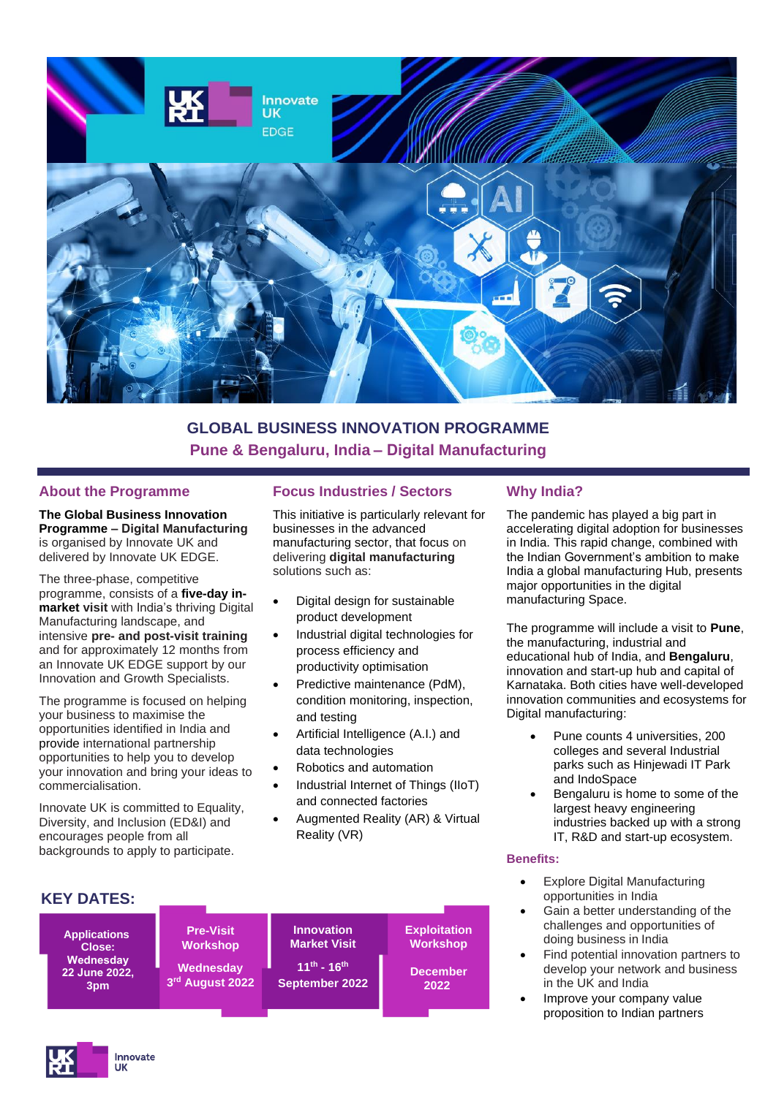

# **GLOBAL BUSINESS INNOVATION PROGRAMME Pune & Bengaluru, India – Digital Manufacturing**

#### **About the Programme**

**[The Global Business Innovation](https://www.innovateukedge.ukri.org/Enter-new-markets-to-grow-and-scale/Global-Business-Innovation-Programme)  [Programme](https://www.innovateukedge.ukri.org/Enter-new-markets-to-grow-and-scale/Global-Business-Innovation-Programme) – Digital Manufacturing** is organised by Innovate UK and delivered by Innovate UK EDGE.

The three-phase, competitive programme, consists of a **five-day inmarket visit** with India's thriving Digital Manufacturing landscape, and intensive **pre- and post-visit training**  and for approximately 12 months from an Innovate UK EDGE support by our Innovation and Growth Specialists.

The programme is focused on helping your business to maximise the opportunities identified in India and provide international partnership opportunities to help you to develop your innovation and bring your ideas to commercialisation.

Innovate UK is committed to Equality, Diversity, and Inclusion (ED&I) and encourages people from all backgrounds to apply to participate.

### **Focus Industries / Sectors**

This initiative is particularly relevant for businesses in the advanced manufacturing sector, that focus on delivering **digital manufacturing** solutions such as:

- Digital design for sustainable product development
- Industrial digital technologies for process efficiency and productivity optimisation
- Predictive maintenance (PdM), condition monitoring, inspection, and testing
- Artificial Intelligence (A.I.) and data technologies
- Robotics and automation
- Industrial Internet of Things (IIoT) and connected factories
- Augmented Reality (AR) & Virtual Reality (VR)



## **Why India?**

The pandemic has played a big part in accelerating digital adoption for businesses in India. This rapid change, combined with the Indian Government's ambition to make India a global manufacturing Hub, presents major opportunities in the digital manufacturing Space.

The programme will include a visit to **Pune**, the manufacturing, industrial and educational hub of India, and **Bengaluru**, innovation and start-up hub and capital of Karnataka. Both cities have well-developed innovation communities and ecosystems for Digital manufacturing:

- Pune counts 4 universities, 200 colleges and several Industrial parks such as Hinjewadi IT Park and IndoSpace
- Bengaluru is home to some of the largest heavy engineering industries backed up with a strong IT, R&D and start-up ecosystem.

#### **Benefits:**

- **Explore Digital Manufacturing** opportunities in India
- Gain a better understanding of the challenges and opportunities of doing business in India
- Find potential innovation partners to develop your network and business in the UK and India
- Improve your company value proposition to Indian partners